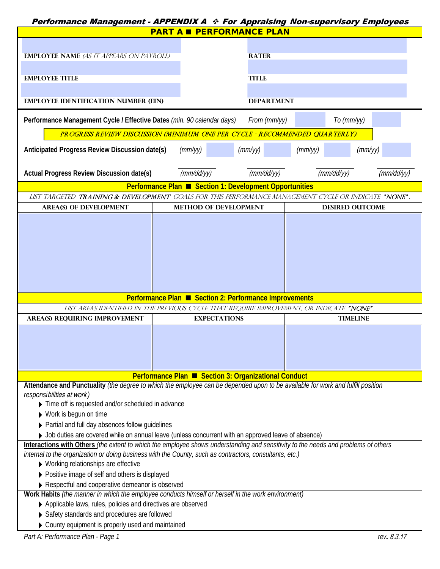| <b>Performance Management - APPENDIX A ☆ For Appraising Non-supervisory Employees</b>                                              |                                                                |              |                        |            |  |  |
|------------------------------------------------------------------------------------------------------------------------------------|----------------------------------------------------------------|--------------|------------------------|------------|--|--|
|                                                                                                                                    | <b>PART A PERFORMANCE PLAN</b>                                 |              |                        |            |  |  |
|                                                                                                                                    |                                                                |              |                        |            |  |  |
| <b>EMPLOYEE NAME</b> (AS IT APPEARS ON PAYROLL)                                                                                    |                                                                | <b>RATER</b> |                        |            |  |  |
|                                                                                                                                    |                                                                |              |                        |            |  |  |
|                                                                                                                                    |                                                                |              |                        |            |  |  |
| <b>EMPLOYEE TITLE</b>                                                                                                              |                                                                | <b>TITLE</b> |                        |            |  |  |
|                                                                                                                                    |                                                                |              |                        |            |  |  |
| <b>DEPARTMENT</b><br><b>EMPLOYEE IDENTIFICATION NUMBER (EIN)</b>                                                                   |                                                                |              |                        |            |  |  |
| To (mm/yy)<br>Performance Management Cycle / Effective Dates (min. 90 calendar days)<br>From (mm/yy)                               |                                                                |              |                        |            |  |  |
| PROGRESS REVIEW DISCUSSION (MINIMUM ONE PER CYCLE - RECOMMENDED QUARTERLY)                                                         |                                                                |              |                        |            |  |  |
|                                                                                                                                    |                                                                |              |                        |            |  |  |
| Anticipated Progress Review Discussion date(s)                                                                                     | (mm/yy)                                                        | (mm/yy)      | (mm/yy)                | (mm/yy)    |  |  |
|                                                                                                                                    |                                                                |              |                        |            |  |  |
| Actual Progress Review Discussion date(s)                                                                                          | (mm/dd/yy)                                                     | (mm/dd/yy)   | (mm/dd/yy)             | (mm/dd/yy) |  |  |
|                                                                                                                                    | <b>Performance Plan ■ Section 1: Development Opportunities</b> |              |                        |            |  |  |
| LIST TARGETED TRAINING & DEVELOPMENT GOALS FOR THIS PERFORMANCE MANAGEMENT CYCLE OR INDICATE "NONE".                               |                                                                |              |                        |            |  |  |
| <b>AREA(S) OF DEVELOPMENT</b>                                                                                                      | METHOD OF DEVELOPMENT                                          |              | <b>DESIRED OUTCOME</b> |            |  |  |
|                                                                                                                                    |                                                                |              |                        |            |  |  |
|                                                                                                                                    |                                                                |              |                        |            |  |  |
|                                                                                                                                    |                                                                |              |                        |            |  |  |
|                                                                                                                                    |                                                                |              |                        |            |  |  |
|                                                                                                                                    |                                                                |              |                        |            |  |  |
|                                                                                                                                    |                                                                |              |                        |            |  |  |
|                                                                                                                                    |                                                                |              |                        |            |  |  |
|                                                                                                                                    |                                                                |              |                        |            |  |  |
|                                                                                                                                    | <b>Performance Plan ■ Section 2: Performance Improvements</b>  |              |                        |            |  |  |
| LIST AREAS IDENTIFIED IN THE PREVIOUS CYCLE THAT REQUIRE IMPROVEMENT, OR INDICATE "NONE".                                          |                                                                |              |                        |            |  |  |
| <b>AREA(S) REQUIRING IMPROVEMENT</b>                                                                                               | <b>EXPECTATIONS</b>                                            |              | <b>TIMELINE</b>        |            |  |  |
|                                                                                                                                    |                                                                |              |                        |            |  |  |
|                                                                                                                                    |                                                                |              |                        |            |  |  |
|                                                                                                                                    |                                                                |              |                        |            |  |  |
|                                                                                                                                    |                                                                |              |                        |            |  |  |
|                                                                                                                                    |                                                                |              |                        |            |  |  |
|                                                                                                                                    | Performance Plan ■ Section 3: Organizational Conduct           |              |                        |            |  |  |
| Attendance and Punctuality (the degree to which the employee can be depended upon to be available for work and fulfill position    |                                                                |              |                        |            |  |  |
| responsibilities at work)<br>Time off is requested and/or scheduled in advance                                                     |                                                                |              |                        |            |  |  |
|                                                                                                                                    |                                                                |              |                        |            |  |  |
| $\triangleright$ Work is begun on time                                                                                             |                                                                |              |                        |            |  |  |
| ▶ Partial and full day absences follow guidelines                                                                                  |                                                                |              |                        |            |  |  |
| > Job duties are covered while on annual leave (unless concurrent with an approved leave of absence)                               |                                                                |              |                        |            |  |  |
| Interactions with Others (the extent to which the employee shows understanding and sensitivity to the needs and problems of others |                                                                |              |                        |            |  |  |
| internal to the organization or doing business with the County, such as contractors, consultants, etc.)                            |                                                                |              |                        |            |  |  |
| ▶ Working relationships are effective                                                                                              |                                                                |              |                        |            |  |  |
| ▶ Positive image of self and others is displayed                                                                                   |                                                                |              |                        |            |  |  |
| Respectful and cooperative demeanor is observed                                                                                    |                                                                |              |                        |            |  |  |
| Work Habits (the manner in which the employee conducts himself or herself in the work environment)                                 |                                                                |              |                        |            |  |  |
| Applicable laws, rules, policies and directives are observed                                                                       |                                                                |              |                        |            |  |  |
| Safety standards and procedures are followed                                                                                       |                                                                |              |                        |            |  |  |

County equipment is properly used and maintained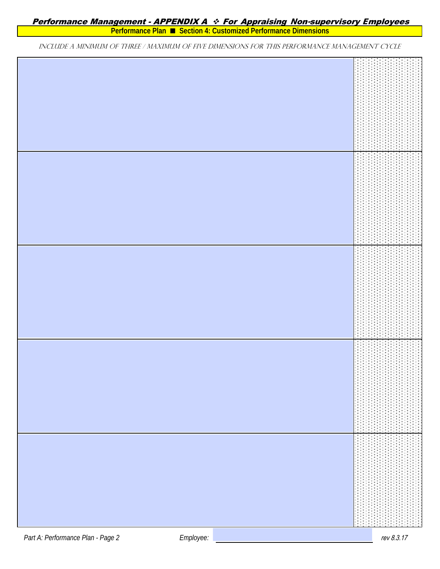## Performance Management - APPENDIX A  $\cdot \cdot$  For Appraising Non-supervisory Employees **Performance Plan ■ Section 4: Customized Performance Dimensions**

Include a minimum of three / maximum of five dimensions for this Performance Management cycle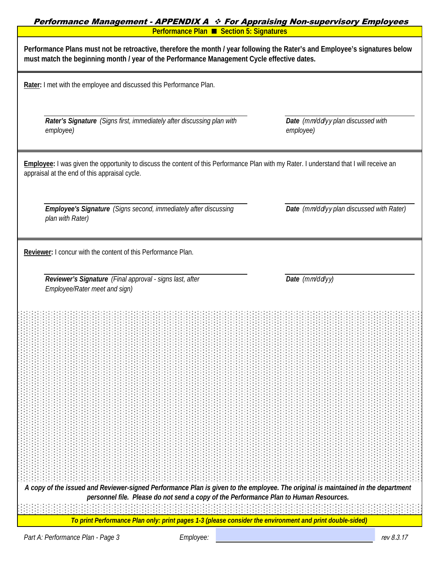| Performance Management - APPENDIX A $\cdot\cdot$ For Appraising Non-supervisory Employees                                                                                                                                 |                                                 |  |  |  |  |  |  |
|---------------------------------------------------------------------------------------------------------------------------------------------------------------------------------------------------------------------------|-------------------------------------------------|--|--|--|--|--|--|
| <b>Performance Plan ■ Section 5: Signatures</b>                                                                                                                                                                           |                                                 |  |  |  |  |  |  |
| Performance Plans must not be retroactive, therefore the month / year following the Rater's and Employee's signatures below<br>must match the beginning month / year of the Performance Management Cycle effective dates. |                                                 |  |  |  |  |  |  |
| Rater: I met with the employee and discussed this Performance Plan.                                                                                                                                                       |                                                 |  |  |  |  |  |  |
| Rater's Signature (Signs first, immediately after discussing plan with<br>employee)                                                                                                                                       | Date (mm/dd/yy plan discussed with<br>employee) |  |  |  |  |  |  |
| Employee: I was given the opportunity to discuss the content of this Performance Plan with my Rater. I understand that I will receive an<br>appraisal at the end of this appraisal cycle.                                 |                                                 |  |  |  |  |  |  |
| Employee's Signature (Signs second, immediately after discussing<br>plan with Rater)                                                                                                                                      | Date (mm/dd/yy plan discussed with Rater)       |  |  |  |  |  |  |
| Reviewer: I concur with the content of this Performance Plan.                                                                                                                                                             |                                                 |  |  |  |  |  |  |
| Reviewer's Signature (Final approval - signs last, after<br>Employee/Rater meet and sign)                                                                                                                                 | Date (mm/dd/yy)                                 |  |  |  |  |  |  |
| A copy of the issued and Reviewer-signed Performance Plan is given to the employee. The original is maintained in the department<br>personnel file. Please do not send a copy of the Performance Plan to Human Resources. |                                                 |  |  |  |  |  |  |
|                                                                                                                                                                                                                           |                                                 |  |  |  |  |  |  |
| To print Performance Plan only: print pages 1-3 (please consider the environment and print double-sided)                                                                                                                  |                                                 |  |  |  |  |  |  |

**Employee: rev 8.3.17**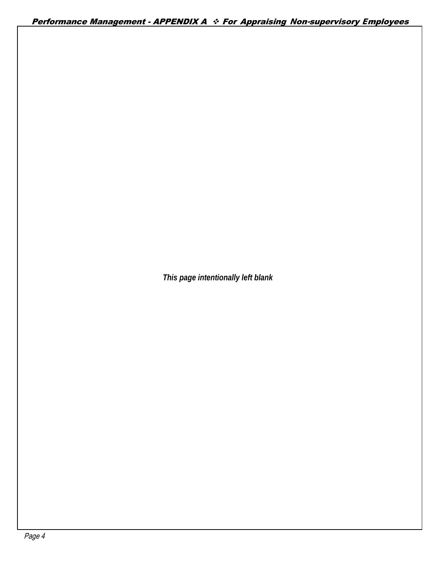*This page intentionally left blank*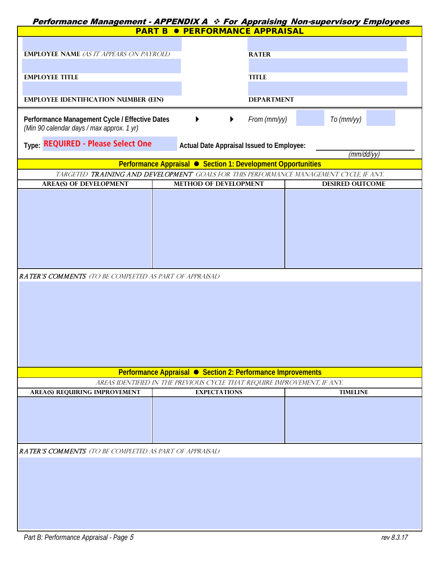| <b>PART B · PERFORMANCE APPRAISAL</b><br><b>EMPLOYEE NAME</b> (AS IT APPEARS ON PAYROLL)<br><b>RATER</b><br><b>EMPLOYEE TITLE</b><br><b>TITLE</b><br><b>EMPLOYEE IDENTIFICATION NUMBER (EIN)</b><br><b>DEPARTMENT</b><br>From (mm/yy)<br>To (mm/yy)<br>Performance Management Cycle / Effective Dates<br>(Min 90 calendar days / max approx. 1 yr)<br>Type: REQUIRED - Please Select One<br>Actual Date Appraisal Issued to Employee:<br>(mm/dd/yy)<br>Performance Appraisal ● Section 1: Development Opportunities<br>TARGETED TRAINING AND DEVELOPMENT GOALS FOR THIS PERFORMANCE MANAGEMENT CYCLE, IF ANY.<br>METHOD OF DEVELOPMENT<br><b>DESIRED OUTCOME</b><br><b>AREA(S) OF DEVELOPMENT</b> |
|---------------------------------------------------------------------------------------------------------------------------------------------------------------------------------------------------------------------------------------------------------------------------------------------------------------------------------------------------------------------------------------------------------------------------------------------------------------------------------------------------------------------------------------------------------------------------------------------------------------------------------------------------------------------------------------------------|
|                                                                                                                                                                                                                                                                                                                                                                                                                                                                                                                                                                                                                                                                                                   |
|                                                                                                                                                                                                                                                                                                                                                                                                                                                                                                                                                                                                                                                                                                   |
|                                                                                                                                                                                                                                                                                                                                                                                                                                                                                                                                                                                                                                                                                                   |
|                                                                                                                                                                                                                                                                                                                                                                                                                                                                                                                                                                                                                                                                                                   |
|                                                                                                                                                                                                                                                                                                                                                                                                                                                                                                                                                                                                                                                                                                   |
|                                                                                                                                                                                                                                                                                                                                                                                                                                                                                                                                                                                                                                                                                                   |
|                                                                                                                                                                                                                                                                                                                                                                                                                                                                                                                                                                                                                                                                                                   |
|                                                                                                                                                                                                                                                                                                                                                                                                                                                                                                                                                                                                                                                                                                   |
|                                                                                                                                                                                                                                                                                                                                                                                                                                                                                                                                                                                                                                                                                                   |
|                                                                                                                                                                                                                                                                                                                                                                                                                                                                                                                                                                                                                                                                                                   |
|                                                                                                                                                                                                                                                                                                                                                                                                                                                                                                                                                                                                                                                                                                   |
|                                                                                                                                                                                                                                                                                                                                                                                                                                                                                                                                                                                                                                                                                                   |
|                                                                                                                                                                                                                                                                                                                                                                                                                                                                                                                                                                                                                                                                                                   |
|                                                                                                                                                                                                                                                                                                                                                                                                                                                                                                                                                                                                                                                                                                   |
|                                                                                                                                                                                                                                                                                                                                                                                                                                                                                                                                                                                                                                                                                                   |
|                                                                                                                                                                                                                                                                                                                                                                                                                                                                                                                                                                                                                                                                                                   |
|                                                                                                                                                                                                                                                                                                                                                                                                                                                                                                                                                                                                                                                                                                   |
|                                                                                                                                                                                                                                                                                                                                                                                                                                                                                                                                                                                                                                                                                                   |
|                                                                                                                                                                                                                                                                                                                                                                                                                                                                                                                                                                                                                                                                                                   |
|                                                                                                                                                                                                                                                                                                                                                                                                                                                                                                                                                                                                                                                                                                   |
|                                                                                                                                                                                                                                                                                                                                                                                                                                                                                                                                                                                                                                                                                                   |
|                                                                                                                                                                                                                                                                                                                                                                                                                                                                                                                                                                                                                                                                                                   |
|                                                                                                                                                                                                                                                                                                                                                                                                                                                                                                                                                                                                                                                                                                   |
|                                                                                                                                                                                                                                                                                                                                                                                                                                                                                                                                                                                                                                                                                                   |
| RATER'S COMMENTS (TO BE COMPLETED AS PART OF APPRAISAL)                                                                                                                                                                                                                                                                                                                                                                                                                                                                                                                                                                                                                                           |
|                                                                                                                                                                                                                                                                                                                                                                                                                                                                                                                                                                                                                                                                                                   |
|                                                                                                                                                                                                                                                                                                                                                                                                                                                                                                                                                                                                                                                                                                   |
|                                                                                                                                                                                                                                                                                                                                                                                                                                                                                                                                                                                                                                                                                                   |
|                                                                                                                                                                                                                                                                                                                                                                                                                                                                                                                                                                                                                                                                                                   |
|                                                                                                                                                                                                                                                                                                                                                                                                                                                                                                                                                                                                                                                                                                   |
|                                                                                                                                                                                                                                                                                                                                                                                                                                                                                                                                                                                                                                                                                                   |
|                                                                                                                                                                                                                                                                                                                                                                                                                                                                                                                                                                                                                                                                                                   |
|                                                                                                                                                                                                                                                                                                                                                                                                                                                                                                                                                                                                                                                                                                   |
|                                                                                                                                                                                                                                                                                                                                                                                                                                                                                                                                                                                                                                                                                                   |
| <b>Performance Appraisal ● Section 2: Performance Improvements</b>                                                                                                                                                                                                                                                                                                                                                                                                                                                                                                                                                                                                                                |
| AREAS IDENTIFIED IN THE PREVIOUS CYCLE THAT REQUIRE IMPROVEMENT, IF ANY.                                                                                                                                                                                                                                                                                                                                                                                                                                                                                                                                                                                                                          |
| <b>EXPECTATIONS</b><br><b>AREA(S) REQUIRING IMPROVEMENT</b><br><b>TIMELINE</b>                                                                                                                                                                                                                                                                                                                                                                                                                                                                                                                                                                                                                    |
|                                                                                                                                                                                                                                                                                                                                                                                                                                                                                                                                                                                                                                                                                                   |
|                                                                                                                                                                                                                                                                                                                                                                                                                                                                                                                                                                                                                                                                                                   |
|                                                                                                                                                                                                                                                                                                                                                                                                                                                                                                                                                                                                                                                                                                   |
|                                                                                                                                                                                                                                                                                                                                                                                                                                                                                                                                                                                                                                                                                                   |
|                                                                                                                                                                                                                                                                                                                                                                                                                                                                                                                                                                                                                                                                                                   |
| <b>RATER'S COMMENTS</b> (TO BE COMPLETED AS PART OF APPRAISAL)                                                                                                                                                                                                                                                                                                                                                                                                                                                                                                                                                                                                                                    |
|                                                                                                                                                                                                                                                                                                                                                                                                                                                                                                                                                                                                                                                                                                   |
|                                                                                                                                                                                                                                                                                                                                                                                                                                                                                                                                                                                                                                                                                                   |
|                                                                                                                                                                                                                                                                                                                                                                                                                                                                                                                                                                                                                                                                                                   |
|                                                                                                                                                                                                                                                                                                                                                                                                                                                                                                                                                                                                                                                                                                   |
|                                                                                                                                                                                                                                                                                                                                                                                                                                                                                                                                                                                                                                                                                                   |
|                                                                                                                                                                                                                                                                                                                                                                                                                                                                                                                                                                                                                                                                                                   |
|                                                                                                                                                                                                                                                                                                                                                                                                                                                                                                                                                                                                                                                                                                   |
|                                                                                                                                                                                                                                                                                                                                                                                                                                                                                                                                                                                                                                                                                                   |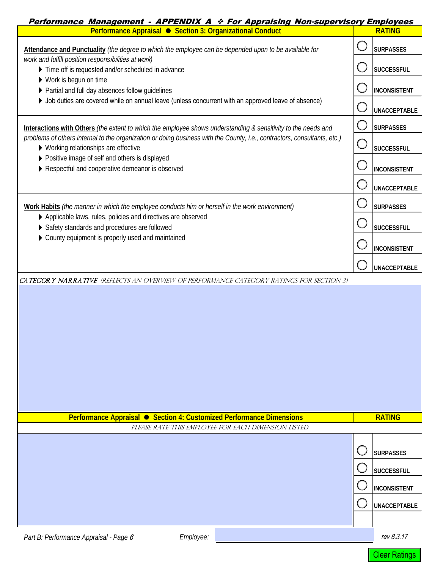| <b>Performance Management - APPENDIX A <math>\cdot \cdot</math> For Appraising Non-supervisory Employees</b>                                                      |                      |
|-------------------------------------------------------------------------------------------------------------------------------------------------------------------|----------------------|
| Performance Appraisal ● Section 3: Organizational Conduct                                                                                                         | <b>RATING</b>        |
| Attendance and Punctuality (the degree to which the employee can be depended upon to be available for<br>work and fulfill position responsibilities at work)      | <b>SURPASSES</b>     |
| Time off is requested and/or scheduled in advance<br>▶ Work is begun on time                                                                                      | <b>SUCCESSFUL</b>    |
| ▶ Partial and full day absences follow quidelines                                                                                                                 | <b>INCONSISTENT</b>  |
| > Job duties are covered while on annual leave (unless concurrent with an approved leave of absence)                                                              | <b>UNACCEPTABLE</b>  |
| Interactions with Others (the extent to which the employee shows understanding & sensitivity to the needs and                                                     | <b>SURPASSES</b>     |
| problems of others internal to the organization or doing business with the County, i.e., contractors, consultants, etc.)<br>▶ Working relationships are effective | <b>SUCCESSFUL</b>    |
| ▶ Positive image of self and others is displayed<br>Respectful and cooperative demeanor is observed                                                               | <b>INCONSISTENT</b>  |
|                                                                                                                                                                   | <b>UNACCEPTABLE</b>  |
| Work Habits (the manner in which the employee conducts him or herself in the work environment)<br>Applicable laws, rules, policies and directives are observed    | <b>SURPASSES</b>     |
| Safety standards and procedures are followed<br>County equipment is properly used and maintained                                                                  | <b>SUCCESSFUL</b>    |
|                                                                                                                                                                   | <b>INCONSISTENT</b>  |
|                                                                                                                                                                   | <b>UNACCEPTABLE</b>  |
|                                                                                                                                                                   |                      |
| Performance Appraisal ● Section 4: Customized Performance Dimensions                                                                                              | <b>RATING</b>        |
| PLEASE RATE THIS EMPLOYEE FOR EACH DIMENSION LISTED                                                                                                               |                      |
|                                                                                                                                                                   | <b>SURPASSES</b>     |
|                                                                                                                                                                   | <b>SUCCESSFUL</b>    |
|                                                                                                                                                                   | <b>INCONSISTENT</b>  |
|                                                                                                                                                                   | <b>UNACCEPTABLE</b>  |
| Employee:<br>Part B: Performance Appraisal - Page 6                                                                                                               | rev 8.3.17           |
|                                                                                                                                                                   | <b>Clear Ratings</b> |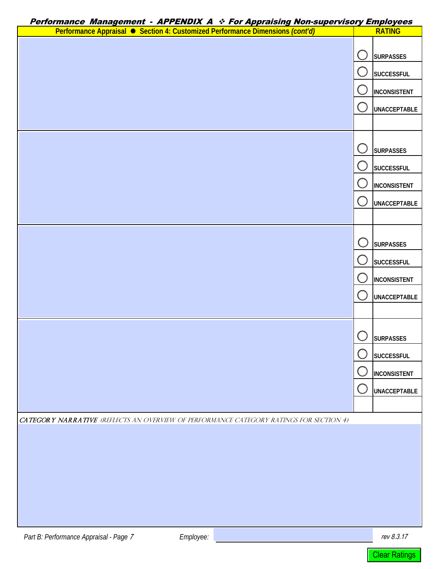| <b>Performance Management - APPENDIX A <math>\cdot \cdot</math> For Appraising Non-supervisory Employees</b><br>Performance Appraisal ● Section 4: Customized Performance Dimensions (cont'd) |           |                                               | <b>RATING</b>       |
|-----------------------------------------------------------------------------------------------------------------------------------------------------------------------------------------------|-----------|-----------------------------------------------|---------------------|
|                                                                                                                                                                                               |           |                                               |                     |
|                                                                                                                                                                                               |           |                                               | <b>SURPASSES</b>    |
|                                                                                                                                                                                               |           |                                               | <b>SUCCESSFUL</b>   |
|                                                                                                                                                                                               |           | $\cup$                                        | <b>INCONSISTENT</b> |
|                                                                                                                                                                                               |           | $\bigcup$                                     | <b>UNACCEPTABLE</b> |
|                                                                                                                                                                                               |           |                                               |                     |
|                                                                                                                                                                                               |           |                                               |                     |
|                                                                                                                                                                                               |           |                                               | <b>SURPASSES</b>    |
|                                                                                                                                                                                               |           | L.                                            | <b>SUCCESSFUL</b>   |
|                                                                                                                                                                                               |           | $\begin{array}{c} \square \end{array}$        | <b>INCONSISTENT</b> |
|                                                                                                                                                                                               |           |                                               | <b>UNACCEPTABLE</b> |
|                                                                                                                                                                                               |           |                                               |                     |
|                                                                                                                                                                                               |           | and the control                               | <b>SURPASSES</b>    |
|                                                                                                                                                                                               |           | L.                                            | <b>SUCCESSFUL</b>   |
|                                                                                                                                                                                               |           | J.                                            | <b>INCONSISTENT</b> |
|                                                                                                                                                                                               |           | $\left( \begin{array}{c} \end{array} \right)$ | <b>UNACCEPTABLE</b> |
|                                                                                                                                                                                               |           |                                               |                     |
|                                                                                                                                                                                               |           |                                               | <b>SURPASSES</b>    |
|                                                                                                                                                                                               |           |                                               | <b>SUCCESSFUL</b>   |
|                                                                                                                                                                                               |           |                                               | <b>INCONSISTENT</b> |
|                                                                                                                                                                                               |           |                                               | <b>UNACCEPTABLE</b> |
|                                                                                                                                                                                               |           |                                               |                     |
| <b>CATEGORY NARRATIVE</b> (REFLECTS AN OVERVIEW OF PERFORMANCE CATEGORY RATINGS FOR SECTION 4)                                                                                                |           |                                               |                     |
|                                                                                                                                                                                               |           |                                               |                     |
|                                                                                                                                                                                               |           |                                               |                     |
|                                                                                                                                                                                               |           |                                               |                     |
|                                                                                                                                                                                               |           |                                               |                     |
|                                                                                                                                                                                               |           |                                               |                     |
|                                                                                                                                                                                               |           |                                               |                     |
| Part B: Performance Appraisal - Page 7                                                                                                                                                        | Employee: |                                               | rev 8.3.17          |